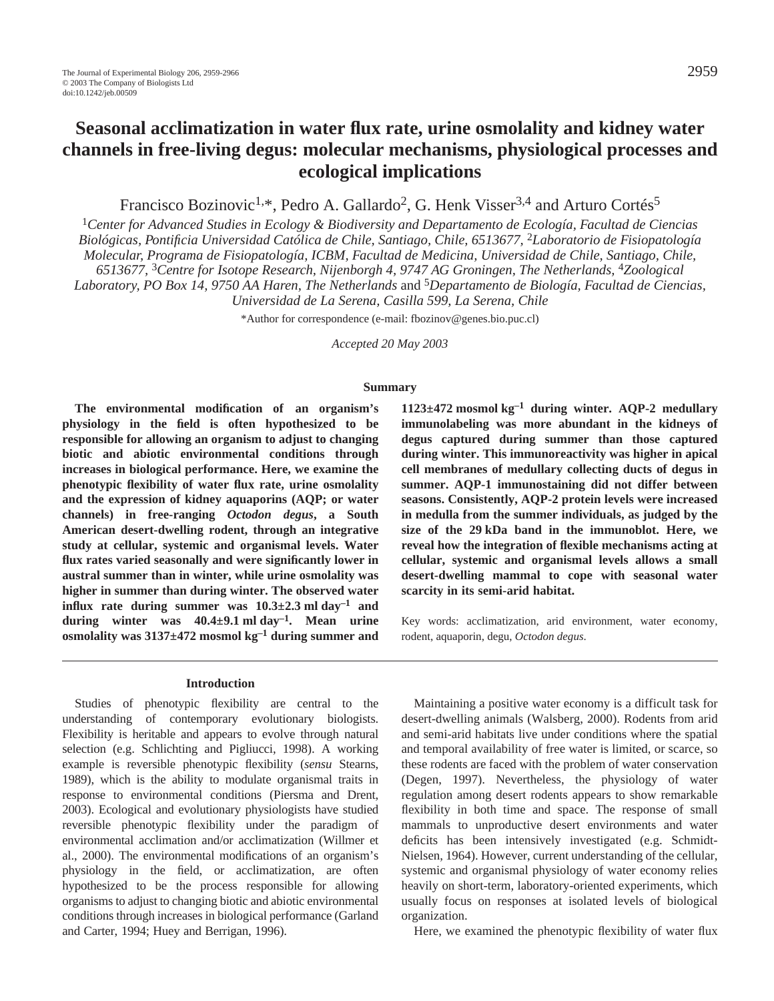# **Seasonal acclimatization in water flux rate, urine osmolality and kidney water channels in free-living degus: molecular mechanisms, physiological processes and ecological implications**

Francisco Bozinovic<sup>1,\*</sup>, Pedro A. Gallardo<sup>2</sup>, G. Henk Visser<sup>3,4</sup> and Arturo Cortés<sup>5</sup>

<sup>1</sup>*Center for Advanced Studies in Ecology & Biodiversity and Departamento de Ecología, Facultad de Ciencias Biológicas, Pontificia Universidad Católica de Chile, Santiago, Chile, 6513677,* 2*Laboratorio de Fisiopatología Molecular, Programa de Fisiopatología, ICBM, Facultad de Medicina, Universidad de Chile, Santiago, Chile, 6513677,* 3*Centre for Isotope Research, Nijenborgh 4, 9747 AG Groningen, The Netherlands,* 4*Zoological Laboratory, PO Box 14, 9750 AA Haren, The Netherlands* and 5*Departamento de Biología, Facultad de Ciencias, Universidad de La Serena, Casilla 599, La Serena, Chile*

\*Author for correspondence (e-mail: fbozinov@genes.bio.puc.cl)

*Accepted 20 May 2003*

### **Summary**

**The environmental modification of an organism's physiology in the field is often hypothesized to be responsible for allowing an organism to adjust to changing biotic and abiotic environmental conditions through increases in biological performance. Here, we examine the phenotypic flexibility of water flux rate, urine osmolality and the expression of kidney aquaporins (AQP; or water channels) in free-ranging** *Octodon degus***, a South American desert-dwelling rodent, through an integrative study at cellular, systemic and organismal levels. Water flux rates varied seasonally and were significantly lower in austral summer than in winter, while urine osmolality was higher in summer than during winter. The observed water influx** rate during summer was  $10.3 \pm 2.3$  ml day<sup>-1</sup> and during winter was  $40.4 \pm 9.1$  ml day<sup>-1</sup>. Mean urine osmolality was  $3137 \pm 472$  mosmol  $kg^{-1}$  during summer and

#### **Introduction**

Studies of phenotypic flexibility are central to the understanding of contemporary evolutionary biologists. Flexibility is heritable and appears to evolve through natural selection (e.g. Schlichting and Pigliucci, 1998). A working example is reversible phenotypic flexibility (*sensu* Stearns, 1989), which is the ability to modulate organismal traits in response to environmental conditions (Piersma and Drent, 2003). Ecological and evolutionary physiologists have studied reversible phenotypic flexibility under the paradigm of environmental acclimation and/or acclimatization (Willmer et al., 2000). The environmental modifications of an organism's physiology in the field, or acclimatization, are often hypothesized to be the process responsible for allowing organisms to adjust to changing biotic and abiotic environmental conditions through increases in biological performance (Garland and Carter, 1994; Huey and Berrigan, 1996).

 $1123 \pm 472$  mosmol kg<sup>-1</sup> during winter. AQP-2 medullary **immunolabeling was more abundant in the kidneys of degus captured during summer than those captured during winter. This immunoreactivity was higher in apical cell membranes of medullary collecting ducts of degus in summer. AQP-1 immunostaining did not differ between seasons. Consistently, AQP-2 protein levels were increased in medulla from the summer individuals, as judged by the size of the 29·kDa band in the immunoblot. Here, we reveal how the integration of flexible mechanisms acting at cellular, systemic and organismal levels allows a small desert-dwelling mammal to cope with seasonal water scarcity in its semi-arid habitat.** 

Key words: acclimatization, arid environment, water economy, rodent, aquaporin, degu, *Octodon degus*.

Maintaining a positive water economy is a difficult task for desert-dwelling animals (Walsberg, 2000). Rodents from arid and semi-arid habitats live under conditions where the spatial and temporal availability of free water is limited, or scarce, so these rodents are faced with the problem of water conservation (Degen, 1997). Nevertheless, the physiology of water regulation among desert rodents appears to show remarkable flexibility in both time and space. The response of small mammals to unproductive desert environments and water deficits has been intensively investigated (e.g. Schmidt-Nielsen, 1964). However, current understanding of the cellular, systemic and organismal physiology of water economy relies heavily on short-term, laboratory-oriented experiments, which usually focus on responses at isolated levels of biological organization.

Here, we examined the phenotypic flexibility of water flux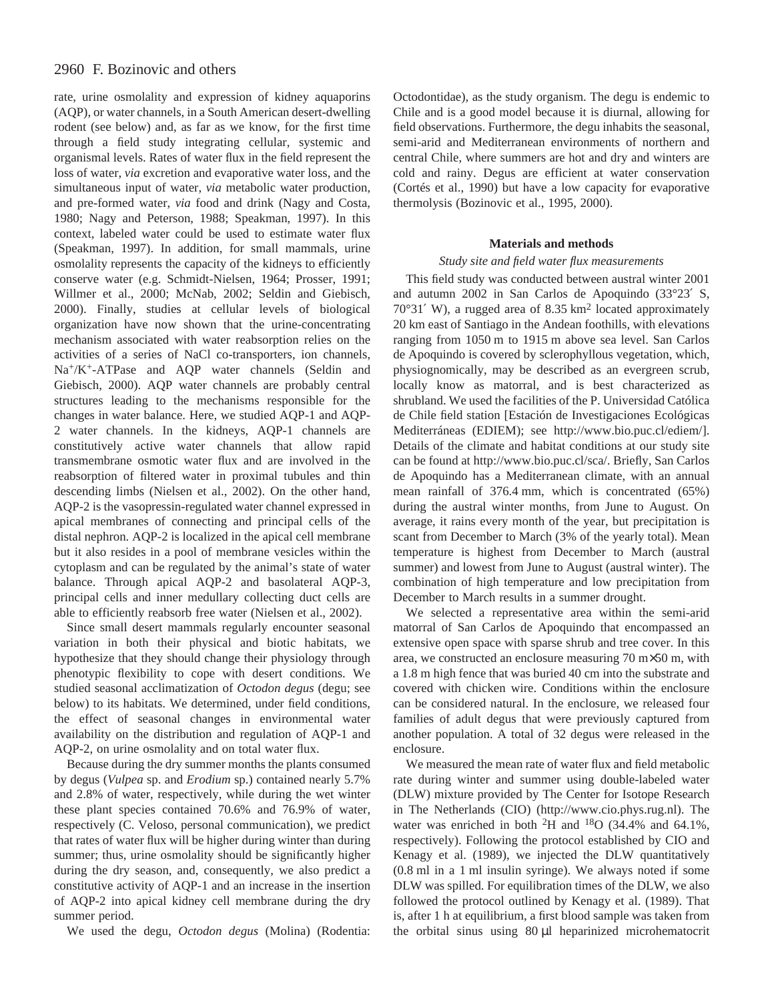## 2960 F. Bozinovic and others

rate, urine osmolality and expression of kidney aquaporins (AQP), or water channels, in a South American desert-dwelling rodent (see below) and, as far as we know, for the first time through a field study integrating cellular, systemic and organismal levels. Rates of water flux in the field represent the loss of water, *via* excretion and evaporative water loss, and the simultaneous input of water, *via* metabolic water production, and pre-formed water, *via* food and drink (Nagy and Costa, 1980; Nagy and Peterson, 1988; Speakman, 1997). In this context, labeled water could be used to estimate water flux (Speakman, 1997). In addition, for small mammals, urine osmolality represents the capacity of the kidneys to efficiently conserve water (e.g. Schmidt-Nielsen, 1964; Prosser, 1991; Willmer et al., 2000; McNab, 2002; Seldin and Giebisch, 2000). Finally, studies at cellular levels of biological organization have now shown that the urine-concentrating mechanism associated with water reabsorption relies on the activities of a series of NaCl co-transporters, ion channels, Na+/K+-ATPase and AQP water channels (Seldin and Giebisch, 2000). AQP water channels are probably central structures leading to the mechanisms responsible for the changes in water balance. Here, we studied AQP-1 and AQP-2 water channels. In the kidneys, AQP-1 channels are constitutively active water channels that allow rapid transmembrane osmotic water flux and are involved in the reabsorption of filtered water in proximal tubules and thin descending limbs (Nielsen et al., 2002). On the other hand, AQP-2 is the vasopressin-regulated water channel expressed in apical membranes of connecting and principal cells of the distal nephron. AQP-2 is localized in the apical cell membrane but it also resides in a pool of membrane vesicles within the cytoplasm and can be regulated by the animal's state of water balance. Through apical AQP-2 and basolateral AQP-3, principal cells and inner medullary collecting duct cells are able to efficiently reabsorb free water (Nielsen et al., 2002).

Since small desert mammals regularly encounter seasonal variation in both their physical and biotic habitats, we hypothesize that they should change their physiology through phenotypic flexibility to cope with desert conditions. We studied seasonal acclimatization of *Octodon degus* (degu; see below) to its habitats. We determined, under field conditions, the effect of seasonal changes in environmental water availability on the distribution and regulation of AQP-1 and AQP-2, on urine osmolality and on total water flux.

Because during the dry summer months the plants consumed by degus (*Vulpea* sp. and *Erodium* sp.) contained nearly 5.7% and 2.8% of water, respectively, while during the wet winter these plant species contained 70.6% and 76.9% of water, respectively (C. Veloso, personal communication), we predict that rates of water flux will be higher during winter than during summer; thus, urine osmolality should be significantly higher during the dry season, and, consequently, we also predict a constitutive activity of AQP-1 and an increase in the insertion of AQP-2 into apical kidney cell membrane during the dry summer period.

We used the degu, *Octodon degus* (Molina) (Rodentia:

Octodontidae), as the study organism. The degu is endemic to Chile and is a good model because it is diurnal, allowing for field observations. Furthermore, the degu inhabits the seasonal, semi-arid and Mediterranean environments of northern and central Chile, where summers are hot and dry and winters are cold and rainy. Degus are efficient at water conservation (Cortés et al., 1990) but have a low capacity for evaporative thermolysis (Bozinovic et al., 1995, 2000).

#### **Materials and methods**

## *Study site and field water flux measurements*

This field study was conducted between austral winter 2001 and autumn 2002 in San Carlos de Apoquindo (33°23′ S,  $70^{\circ}31'$  W), a rugged area of 8.35 km<sup>2</sup> located approximately 20 km east of Santiago in the Andean foothills, with elevations ranging from 1050 m to 1915 m above sea level. San Carlos de Apoquindo is covered by sclerophyllous vegetation, which, physiognomically, may be described as an evergreen scrub, locally know as matorral, and is best characterized as shrubland. We used the facilities of the P. Universidad Católica de Chile field station [Estación de Investigaciones Ecológicas Mediterráneas (EDIEM); see http://www.bio.puc.cl/ediem/]. Details of the climate and habitat conditions at our study site can be found at http://www.bio.puc.cl/sca/. Briefly, San Carlos de Apoquindo has a Mediterranean climate, with an annual mean rainfall of  $376.4$  mm, which is concentrated (65%) during the austral winter months, from June to August. On average, it rains every month of the year, but precipitation is scant from December to March (3% of the yearly total). Mean temperature is highest from December to March (austral summer) and lowest from June to August (austral winter). The combination of high temperature and low precipitation from December to March results in a summer drought.

We selected a representative area within the semi-arid matorral of San Carlos de Apoquindo that encompassed an extensive open space with sparse shrub and tree cover. In this area, we constructed an enclosure measuring  $70~\text{m} \times 50~\text{m}$ , with a 1.8 m high fence that was buried 40 cm into the substrate and covered with chicken wire. Conditions within the enclosure can be considered natural. In the enclosure, we released four families of adult degus that were previously captured from another population. A total of 32 degus were released in the enclosure.

We measured the mean rate of water flux and field metabolic rate during winter and summer using double-labeled water (DLW) mixture provided by The Center for Isotope Research in The Netherlands (CIO) (http://www.cio.phys.rug.nl). The water was enriched in both 2H and 18O (34.4% and 64.1%, respectively). Following the protocol established by CIO and Kenagy et al. (1989), we injected the DLW quantitatively  $(0.8 \text{ ml in a 1 ml insulin syringe})$ . We always noted if some DLW was spilled. For equilibration times of the DLW, we also followed the protocol outlined by Kenagy et al. (1989). That is, after 1 h at equilibrium, a first blood sample was taken from the orbital sinus using 80 µl heparinized microhematocrit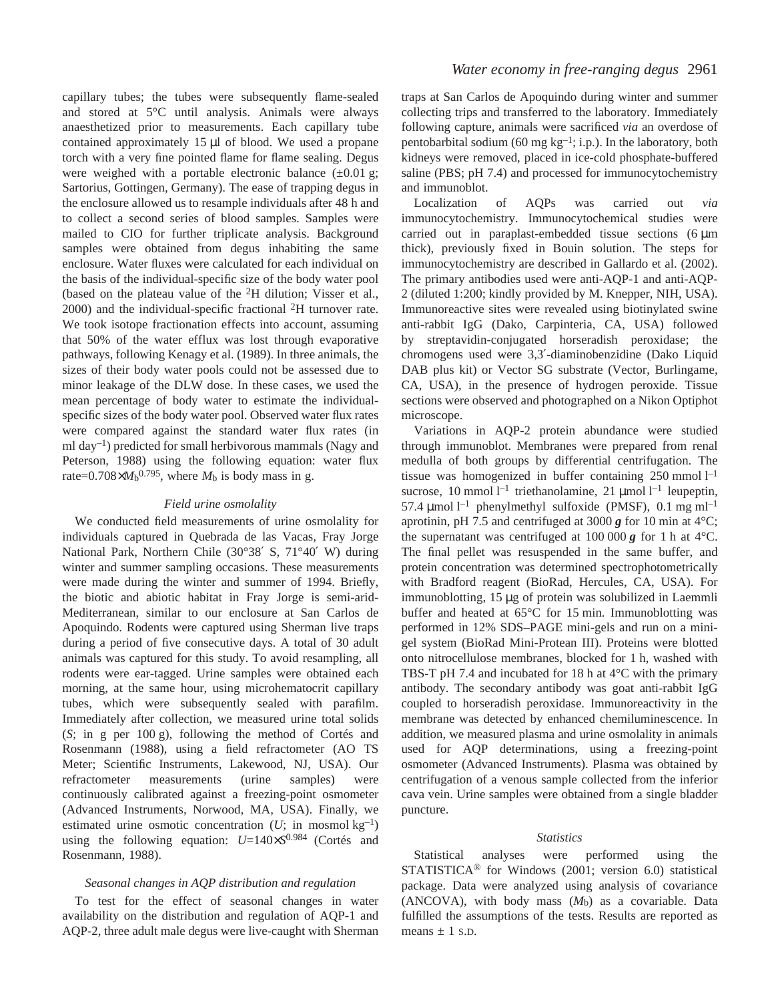capillary tubes; the tubes were subsequently flame-sealed and stored at 5°C until analysis. Animals were always anaesthetized prior to measurements. Each capillary tube contained approximately  $15 \mu l$  of blood. We used a propane torch with a very fine pointed flame for flame sealing. Degus were weighed with a portable electronic balance  $(\pm 0.01 \text{ g})$ ; Sartorius, Gottingen, Germany). The ease of trapping degus in the enclosure allowed us to resample individuals after 48 h and to collect a second series of blood samples. Samples were mailed to CIO for further triplicate analysis. Background samples were obtained from degus inhabiting the same enclosure. Water fluxes were calculated for each individual on the basis of the individual-specific size of the body water pool (based on the plateau value of the 2H dilution; Visser et al., 2000) and the individual-specific fractional 2H turnover rate. We took isotope fractionation effects into account, assuming that 50% of the water efflux was lost through evaporative pathways, following Kenagy et al. (1989). In three animals, the sizes of their body water pools could not be assessed due to minor leakage of the DLW dose. In these cases, we used the mean percentage of body water to estimate the individualspecific sizes of the body water pool. Observed water flux rates were compared against the standard water flux rates (in ml  $day^{-1}$ ) predicted for small herbivorous mammals (Nagy and Peterson, 1988) using the following equation: water flux rate= $0.708 \times M_b^{0.795}$ , where  $M_b$  is body mass in g.

#### *Field urine osmolality*

We conducted field measurements of urine osmolality for individuals captured in Quebrada de las Vacas, Fray Jorge National Park, Northern Chile (30°38′ S, 71°40′ W) during winter and summer sampling occasions. These measurements were made during the winter and summer of 1994. Briefly, the biotic and abiotic habitat in Fray Jorge is semi-arid-Mediterranean, similar to our enclosure at San Carlos de Apoquindo. Rodents were captured using Sherman live traps during a period of five consecutive days. A total of 30 adult animals was captured for this study. To avoid resampling, all rodents were ear-tagged. Urine samples were obtained each morning, at the same hour, using microhematocrit capillary tubes, which were subsequently sealed with parafilm. Immediately after collection, we measured urine total solids (S; in g per 100 g), following the method of Cortés and Rosenmann (1988), using a field refractometer (AO TS Meter; Scientific Instruments, Lakewood, NJ, USA). Our refractometer measurements (urine samples) were continuously calibrated against a freezing-point osmometer (Advanced Instruments, Norwood, MA, USA). Finally, we estimated urine osmotic concentration  $(U; \text{ in } \text{mosmol kg}^{-1})$ using the following equation: *U*=140×*S*0.984 (Cortés and Rosenmann, 1988).

#### *Seasonal changes in AQP distribution and regulation*

To test for the effect of seasonal changes in water availability on the distribution and regulation of AQP-1 and AQP-2, three adult male degus were live-caught with Sherman

traps at San Carlos de Apoquindo during winter and summer collecting trips and transferred to the laboratory. Immediately following capture, animals were sacrificed *via* an overdose of pentobarbital sodium (60 mg  $kg^{-1}$ ; i.p.). In the laboratory, both kidneys were removed, placed in ice-cold phosphate-buffered saline (PBS; pH 7.4) and processed for immunocytochemistry and immunoblot.

Localization of AQPs was carried out *via* immunocytochemistry. Immunocytochemical studies were carried out in paraplast-embedded tissue sections  $(6 \mu m)$ thick), previously fixed in Bouin solution. The steps for immunocytochemistry are described in Gallardo et al. (2002). The primary antibodies used were anti-AQP-1 and anti-AQP-2 (diluted 1:200; kindly provided by M. Knepper, NIH, USA). Immunoreactive sites were revealed using biotinylated swine anti-rabbit IgG (Dako, Carpinteria, CA, USA) followed by streptavidin-conjugated horseradish peroxidase; the chromogens used were 3,3′-diaminobenzidine (Dako Liquid DAB plus kit) or Vector SG substrate (Vector, Burlingame, CA, USA), in the presence of hydrogen peroxide. Tissue sections were observed and photographed on a Nikon Optiphot microscope.

Variations in AQP-2 protein abundance were studied through immunoblot. Membranes were prepared from renal medulla of both groups by differential centrifugation. The tissue was homogenized in buffer containing  $250$  mmol  $l^{-1}$ sucrose, 10 mmol  $l^{-1}$  triethanolamine, 21 µmol  $l^{-1}$  leupeptin, 57.4 µmol<sup>1-1</sup> phenylmethyl sulfoxide (PMSF), 0.1 mg ml<sup>-1</sup> aprotinin, pH 7.5 and centrifuged at 3000  $g$  for 10 min at 4 $\degree$ C; the supernatant was centrifuged at  $100\ 000\ g$  for 1 h at  $4^{\circ}$ C. The final pellet was resuspended in the same buffer, and protein concentration was determined spectrophotometrically with Bradford reagent (BioRad, Hercules, CA, USA). For immunoblotting, 15 µg of protein was solubilized in Laemmli buffer and heated at  $65^{\circ}$ C for 15 min. Immunoblotting was performed in 12% SDS–PAGE mini-gels and run on a minigel system (BioRad Mini-Protean III). Proteins were blotted onto nitrocellulose membranes, blocked for 1 h, washed with TBS-T pH 7.4 and incubated for 18 h at  $4^{\circ}$ C with the primary antibody. The secondary antibody was goat anti-rabbit IgG coupled to horseradish peroxidase. Immunoreactivity in the membrane was detected by enhanced chemiluminescence. In addition, we measured plasma and urine osmolality in animals used for AQP determinations, using a freezing-point osmometer (Advanced Instruments). Plasma was obtained by centrifugation of a venous sample collected from the inferior cava vein. Urine samples were obtained from a single bladder puncture.

#### *Statistics*

Statistical analyses were performed using the STATISTICA® for Windows (2001; version 6.0) statistical package. Data were analyzed using analysis of covariance (ANCOVA), with body mass  $(M_b)$  as a covariable. Data fulfilled the assumptions of the tests. Results are reported as means  $\pm$  1 s.D.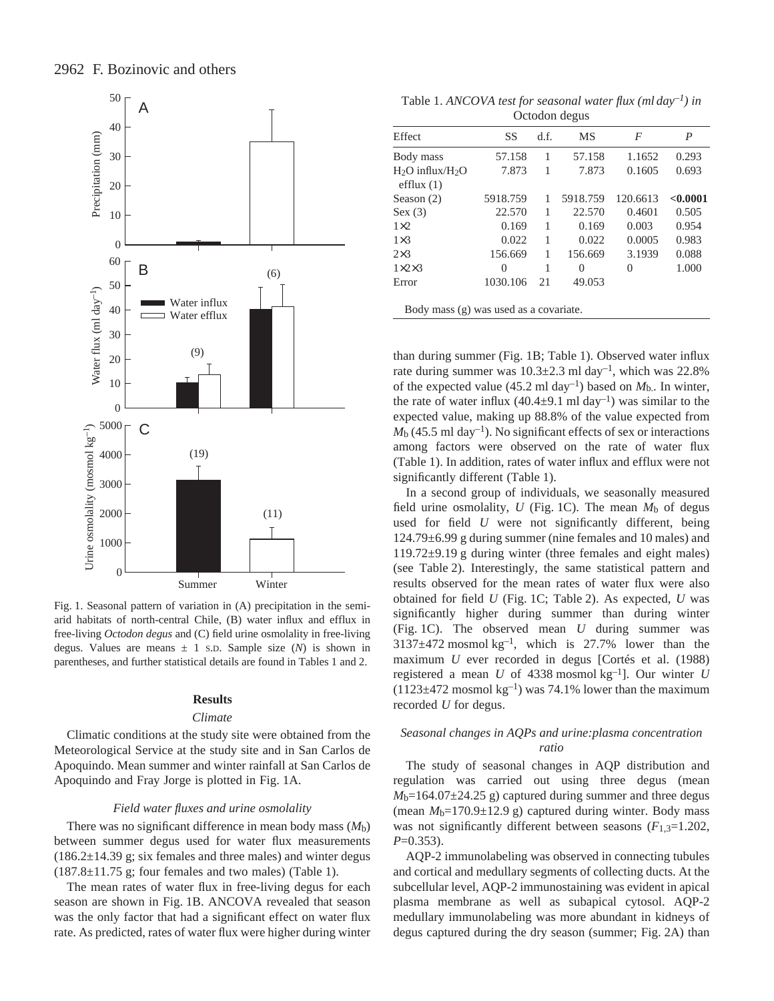

Fig. 1. Seasonal pattern of variation in (A) precipitation in the semiarid habitats of north-central Chile, (B) water influx and efflux in free-living *Octodon degus* and (C) field urine osmolality in free-living degus. Values are means  $\pm$  1 s.D. Sample size (*N*) is shown in parentheses, and further statistical details are found in Tables 1 and 2.

#### **Results**

#### *Climate*

Climatic conditions at the study site were obtained from the Meteorological Service at the study site and in San Carlos de Apoquindo. Mean summer and winter rainfall at San Carlos de Apoquindo and Fray Jorge is plotted in Fig. 1A.

#### *Field water fluxes and urine osmolality*

There was no significant difference in mean body mass (*M*b) between summer degus used for water flux measurements  $(186.2\pm14.39 \text{ g})$ ; six females and three males) and winter degus  $(187.8\pm11.75$  g; four females and two males) (Table 1).

The mean rates of water flux in free-living degus for each season are shown in Fig. 1B. ANCOVA revealed that season was the only factor that had a significant effect on water flux rate. As predicted, rates of water flux were higher during winter

Table 1. *ANCOVA test for seasonal water flux (ml day–1) in* Octodon degus

| Effect                                | SS       | d.f. | MS       | F        | P        |
|---------------------------------------|----------|------|----------|----------|----------|
| Body mass                             | 57.158   | 1    | 57.158   | 1.1652   | 0.293    |
| $H_2O$ influx/ $H_2O$<br>efflux $(1)$ | 7.873    |      | 7.873    | 0.1605   | 0.693    |
| Season (2)                            | 5918.759 | 1    | 5918.759 | 120.6613 | < 0.0001 |
| Sex(3)                                | 22.570   |      | 22.570   | 0.4601   | 0.505    |
| $1\times2$                            | 0.169    | 1    | 0.169    | 0.003    | 0.954    |
| $1\times3$                            | 0.022    | 1    | 0.022    | 0.0005   | 0.983    |
| $2\times3$                            | 156.669  | 1    | 156.669  | 3.1939   | 0.088    |
| $1\times2\times3$                     | 0        | 1    | $\Omega$ | 0        | 1.000    |
| Error                                 | 1030.106 | 21   | 49.053   |          |          |

Body mass (g) was used as a covariate.

than during summer (Fig. 1B; Table 1). Observed water influx rate during summer was  $10.3 \pm 2.3$  ml day<sup>-1</sup>, which was 22.8% of the expected value (45.2 ml day<sup>-1</sup>) based on  $M_{b}$ . In winter, the rate of water influx  $(40.4\pm9.1 \text{ ml day}^{-1})$  was similar to the expected value, making up 88.8% of the value expected from  $M<sub>b</sub>$  (45.5 ml day<sup>-1</sup>). No significant effects of sex or interactions among factors were observed on the rate of water flux (Table 1). In addition, rates of water influx and efflux were not significantly different (Table 1).

In a second group of individuals, we seasonally measured field urine osmolality,  $U$  (Fig. 1C). The mean  $M<sub>b</sub>$  of degus used for field *U* were not significantly different, being  $124.79\pm6.99$  g during summer (nine females and 10 males) and  $119.72\pm9.19$  g during winter (three females and eight males) (see Table 2). Interestingly, the same statistical pattern and results observed for the mean rates of water flux were also obtained for field *U* (Fig. 1C; Table 2). As expected, *U* was significantly higher during summer than during winter (Fig. 1C). The observed mean *U* during summer was  $3137\pm472$  mosmol kg<sup>-1</sup>, which is 27.7% lower than the maximum *U* ever recorded in degus [Cortés et al. (1988) registered a mean *U* of 4338 mosmol  $kg^{-1}$ ]. Our winter *U*  $(1123\pm472 \text{ moshol kg}^{-1})$  was 74.1% lower than the maximum recorded *U* for degus.

## *Seasonal changes in AQPs and urine:plasma concentration ratio*

The study of seasonal changes in AQP distribution and regulation was carried out using three degus (mean  $M<sub>b</sub>=164.07±24.25$  g) captured during summer and three degus (mean  $M<sub>b</sub>=170.9±12.9$  g) captured during winter. Body mass was not significantly different between seasons (*F*1,3=1.202, *P*=0.353).

AQP-2 immunolabeling was observed in connecting tubules and cortical and medullary segments of collecting ducts. At the subcellular level, AQP-2 immunostaining was evident in apical plasma membrane as well as subapical cytosol. AQP-2 medullary immunolabeling was more abundant in kidneys of degus captured during the dry season (summer; Fig. 2A) than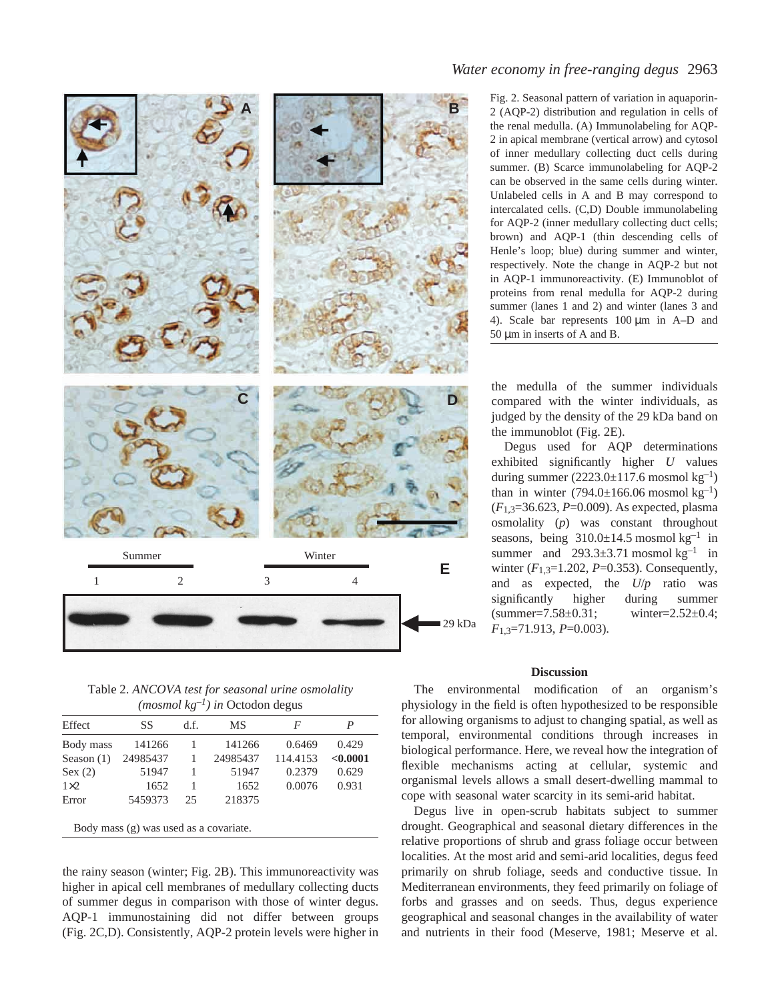

Table 2. *ANCOVA test for seasonal urine osmolality*  $(mosmol kg^{-1})$  in Octodon degus

| Effect       | SS       | d.f. | MS       | F        |          |
|--------------|----------|------|----------|----------|----------|
| Body mass    | 141266   |      | 141266   | 0.6469   | 0.429    |
| Season $(1)$ | 24985437 |      | 24985437 | 114.4153 | < 0.0001 |
| Sex(2)       | 51947    |      | 51947    | 0.2379   | 0.629    |
| $1\times2$   | 1652     |      | 1652     | 0.0076   | 0.931    |
| Error        | 5459373  | 25   | 218375   |          |          |

Body mass (g) was used as a covariate.

the rainy season (winter; Fig. 2B). This immunoreactivity was higher in apical cell membranes of medullary collecting ducts of summer degus in comparison with those of winter degus. AQP-1 immunostaining did not differ between groups (Fig. 2C,D). Consistently, AQP-2 protein levels were higher in

## *Water economy in free-ranging degus* 2963

Fig. 2. Seasonal pattern of variation in aquaporin-2 (AQP-2) distribution and regulation in cells of the renal medulla. (A) Immunolabeling for AQP-2 in apical membrane (vertical arrow) and cytosol of inner medullary collecting duct cells during summer. (B) Scarce immunolabeling for AQP-2 can be observed in the same cells during winter. Unlabeled cells in A and B may correspond to intercalated cells. (C,D) Double immunolabeling for AQP-2 (inner medullary collecting duct cells; brown) and AQP-1 (thin descending cells of Henle's loop; blue) during summer and winter, respectively. Note the change in AQP-2 but not in AQP-1 immunoreactivity. (E) Immunoblot of proteins from renal medulla for AQP-2 during summer (lanes 1 and 2) and winter (lanes 3 and 4). Scale bar represents  $100 \mu m$  in A–D and  $50 \mu m$  in inserts of A and B.

the medulla of the summer individuals compared with the winter individuals, as judged by the density of the 29 kDa band on the immunoblot (Fig. 2E).

Degus used for AQP determinations exhibited significantly higher *U* values during summer  $(2223.0\pm117.6 \text{ moshol kg}^{-1})$ than in winter  $(794.0 \pm 166.06 \text{ mosh} \text{ kg}^{-1})$ (*F*1,3=36.623, *P*=0.009). As expected, plasma osmolality (*p*) was constant throughout seasons, being  $310.0 \pm 14.5$  mosmol kg<sup>-1</sup> in summer and  $293.3\pm3.71$  mosmol kg<sup>-1</sup> in winter (*F*1,3=1.202, *P*=0.353). Consequently, and as expected, the *U*/*p* ratio was significantly higher during summer  $\text{(summer=7.58\pm0.31}; \text{where=2.52\pm0.4};$ *F*1,3=71.913, *P*=0.003).

#### **Discussion**

The environmental modification of an organism's physiology in the field is often hypothesized to be responsible for allowing organisms to adjust to changing spatial, as well as temporal, environmental conditions through increases in biological performance. Here, we reveal how the integration of flexible mechanisms acting at cellular, systemic and organismal levels allows a small desert-dwelling mammal to cope with seasonal water scarcity in its semi-arid habitat.

Degus live in open-scrub habitats subject to summer drought. Geographical and seasonal dietary differences in the relative proportions of shrub and grass foliage occur between localities. At the most arid and semi-arid localities, degus feed primarily on shrub foliage, seeds and conductive tissue. In Mediterranean environments, they feed primarily on foliage of forbs and grasses and on seeds. Thus, degus experience geographical and seasonal changes in the availability of water and nutrients in their food (Meserve, 1981; Meserve et al.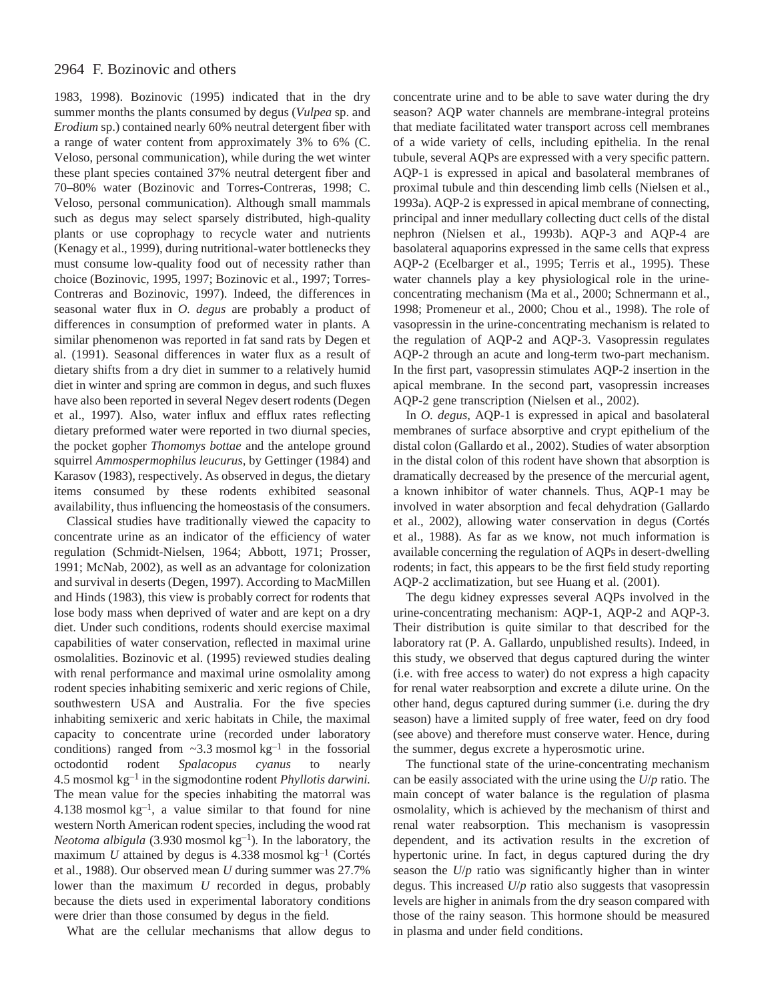## 2964 F. Bozinovic and others

1983, 1998). Bozinovic (1995) indicated that in the dry summer months the plants consumed by degus (*Vulpea* sp. and *Erodium* sp.) contained nearly 60% neutral detergent fiber with a range of water content from approximately 3% to 6% (C. Veloso, personal communication), while during the wet winter these plant species contained 37% neutral detergent fiber and 70–80% water (Bozinovic and Torres-Contreras, 1998; C. Veloso, personal communication). Although small mammals such as degus may select sparsely distributed, high-quality plants or use coprophagy to recycle water and nutrients (Kenagy et al., 1999), during nutritional-water bottlenecks they must consume low-quality food out of necessity rather than choice (Bozinovic, 1995, 1997; Bozinovic et al., 1997; Torres-Contreras and Bozinovic, 1997). Indeed, the differences in seasonal water flux in *O. degus* are probably a product of differences in consumption of preformed water in plants. A similar phenomenon was reported in fat sand rats by Degen et al. (1991). Seasonal differences in water flux as a result of dietary shifts from a dry diet in summer to a relatively humid diet in winter and spring are common in degus, and such fluxes have also been reported in several Negev desert rodents (Degen et al., 1997). Also, water influx and efflux rates reflecting dietary preformed water were reported in two diurnal species, the pocket gopher *Thomomys bottae* and the antelope ground squirrel *Ammospermophilus leucurus*, by Gettinger (1984) and Karasov (1983), respectively. As observed in degus, the dietary items consumed by these rodents exhibited seasonal availability, thus influencing the homeostasis of the consumers.

Classical studies have traditionally viewed the capacity to concentrate urine as an indicator of the efficiency of water regulation (Schmidt-Nielsen, 1964; Abbott, 1971; Prosser, 1991; McNab, 2002), as well as an advantage for colonization and survival in deserts (Degen, 1997). According to MacMillen and Hinds (1983), this view is probably correct for rodents that lose body mass when deprived of water and are kept on a dry diet. Under such conditions, rodents should exercise maximal capabilities of water conservation, reflected in maximal urine osmolalities. Bozinovic et al. (1995) reviewed studies dealing with renal performance and maximal urine osmolality among rodent species inhabiting semixeric and xeric regions of Chile, southwestern USA and Australia. For the five species inhabiting semixeric and xeric habitats in Chile, the maximal capacity to concentrate urine (recorded under laboratory conditions) ranged from  $\sim$ 3.3 mosmol kg<sup>-1</sup> in the fossorial octodontid rodent *Spalacopus cyanus* to nearly 4.5 mosmol  $kg^{-1}$  in the sigmodontine rodent *Phyllotis darwini*. The mean value for the species inhabiting the matorral was 4.138 mosmol  $kg^{-1}$ , a value similar to that found for nine western North American rodent species, including the wood rat *Neotoma albigula* (3.930 mosmol kg<sup>-1</sup>). In the laboratory, the maximum  $U$  attained by degus is  $4.338$  mosmol kg<sup>-1</sup> (Cortés et al., 1988). Our observed mean *U* during summer was 27.7% lower than the maximum *U* recorded in degus, probably because the diets used in experimental laboratory conditions were drier than those consumed by degus in the field.

What are the cellular mechanisms that allow degus to

concentrate urine and to be able to save water during the dry season? AQP water channels are membrane-integral proteins that mediate facilitated water transport across cell membranes of a wide variety of cells, including epithelia. In the renal tubule, several AQPs are expressed with a very specific pattern. AQP-1 is expressed in apical and basolateral membranes of proximal tubule and thin descending limb cells (Nielsen et al., 1993a). AQP-2 is expressed in apical membrane of connecting, principal and inner medullary collecting duct cells of the distal nephron (Nielsen et al., 1993b). AQP-3 and AQP-4 are basolateral aquaporins expressed in the same cells that express AQP-2 (Ecelbarger et al., 1995; Terris et al., 1995). These water channels play a key physiological role in the urineconcentrating mechanism (Ma et al., 2000; Schnermann et al., 1998; Promeneur et al., 2000; Chou et al., 1998). The role of vasopressin in the urine-concentrating mechanism is related to the regulation of AQP-2 and AQP-3. Vasopressin regulates AQP-2 through an acute and long-term two-part mechanism. In the first part, vasopressin stimulates AQP-2 insertion in the apical membrane. In the second part, vasopressin increases AQP-2 gene transcription (Nielsen et al., 2002).

In *O. degus*, AQP-1 is expressed in apical and basolateral membranes of surface absorptive and crypt epithelium of the distal colon (Gallardo et al., 2002). Studies of water absorption in the distal colon of this rodent have shown that absorption is dramatically decreased by the presence of the mercurial agent, a known inhibitor of water channels. Thus, AQP-1 may be involved in water absorption and fecal dehydration (Gallardo et al., 2002), allowing water conservation in degus (Cortés et al., 1988). As far as we know, not much information is available concerning the regulation of AQPs in desert-dwelling rodents; in fact, this appears to be the first field study reporting AQP-2 acclimatization, but see Huang et al. (2001).

The degu kidney expresses several AQPs involved in the urine-concentrating mechanism: AQP-1, AQP-2 and AQP-3. Their distribution is quite similar to that described for the laboratory rat (P. A. Gallardo, unpublished results). Indeed, in this study, we observed that degus captured during the winter (i.e. with free access to water) do not express a high capacity for renal water reabsorption and excrete a dilute urine. On the other hand, degus captured during summer (i.e. during the dry season) have a limited supply of free water, feed on dry food (see above) and therefore must conserve water. Hence, during the summer, degus excrete a hyperosmotic urine.

The functional state of the urine-concentrating mechanism can be easily associated with the urine using the *U*/*p* ratio. The main concept of water balance is the regulation of plasma osmolality, which is achieved by the mechanism of thirst and renal water reabsorption. This mechanism is vasopressin dependent, and its activation results in the excretion of hypertonic urine. In fact, in degus captured during the dry season the *U*/*p* ratio was significantly higher than in winter degus. This increased *U*/*p* ratio also suggests that vasopressin levels are higher in animals from the dry season compared with those of the rainy season. This hormone should be measured in plasma and under field conditions.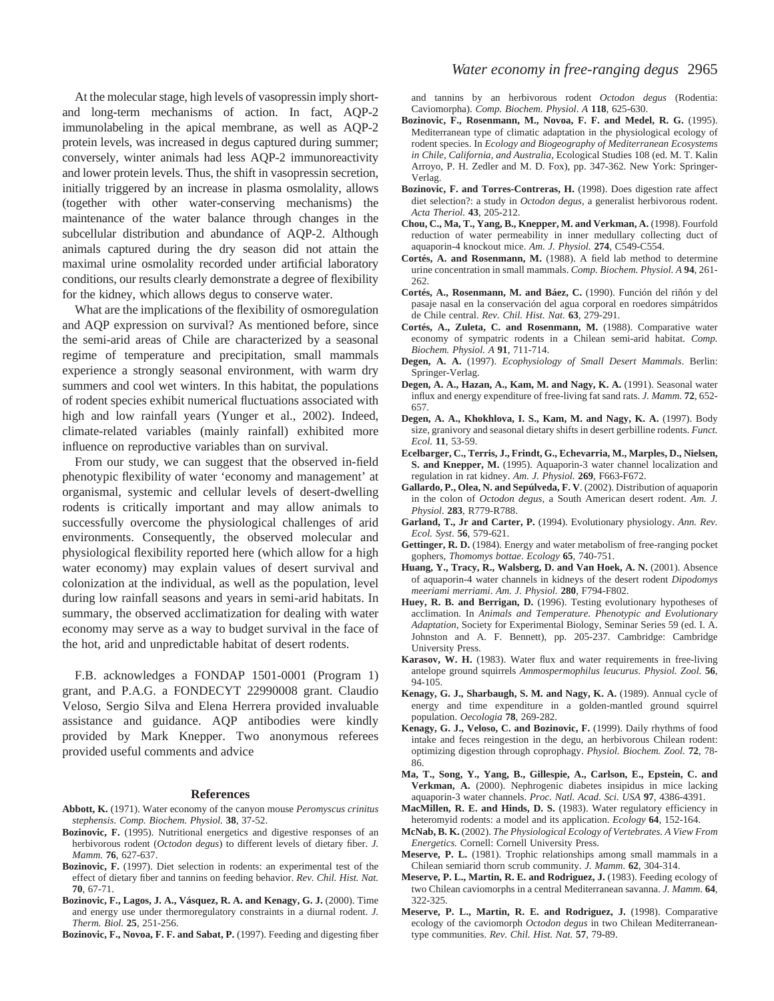At the molecular stage, high levels of vasopressin imply shortand long-term mechanisms of action. In fact, AQP-2 immunolabeling in the apical membrane, as well as AQP-2 protein levels, was increased in degus captured during summer; conversely, winter animals had less AQP-2 immunoreactivity and lower protein levels. Thus, the shift in vasopressin secretion, initially triggered by an increase in plasma osmolality, allows (together with other water-conserving mechanisms) the maintenance of the water balance through changes in the subcellular distribution and abundance of AQP-2. Although animals captured during the dry season did not attain the maximal urine osmolality recorded under artificial laboratory conditions, our results clearly demonstrate a degree of flexibility for the kidney, which allows degus to conserve water.

What are the implications of the flexibility of osmoregulation and AQP expression on survival? As mentioned before, since the semi-arid areas of Chile are characterized by a seasonal regime of temperature and precipitation, small mammals experience a strongly seasonal environment, with warm dry summers and cool wet winters. In this habitat, the populations of rodent species exhibit numerical fluctuations associated with high and low rainfall years (Yunger et al., 2002). Indeed, climate-related variables (mainly rainfall) exhibited more influence on reproductive variables than on survival.

From our study, we can suggest that the observed in-field phenotypic flexibility of water 'economy and management' at organismal, systemic and cellular levels of desert-dwelling rodents is critically important and may allow animals to successfully overcome the physiological challenges of arid environments. Consequently, the observed molecular and physiological flexibility reported here (which allow for a high water economy) may explain values of desert survival and colonization at the individual, as well as the population, level during low rainfall seasons and years in semi-arid habitats. In summary, the observed acclimatization for dealing with water economy may serve as a way to budget survival in the face of the hot, arid and unpredictable habitat of desert rodents.

F.B. acknowledges a FONDAP 1501-0001 (Program 1) grant, and P.A.G. a FONDECYT 22990008 grant. Claudio Veloso, Sergio Silva and Elena Herrera provided invaluable assistance and guidance. AQP antibodies were kindly provided by Mark Knepper. Two anonymous referees provided useful comments and advice

#### **References**

- **Abbott, K.** (1971). Water economy of the canyon mouse *Peromyscus crinitus stephensis*. *Comp. Biochem. Physiol.* **38**, 37-52.
- **Bozinovic, F.** (1995). Nutritional energetics and digestive responses of an herbivorous rodent (*Octodon degus*) to different levels of dietary fiber. *J. Mamm.* **76**, 627-637.
- **Bozinovic, F.** (1997). Diet selection in rodents: an experimental test of the effect of dietary fiber and tannins on feeding behavior. *Rev. Chil. Hist. Nat.* **70**, 67-71.
- **Bozinovic, F., Lagos, J. A., Vásquez, R. A. and Kenagy, G. J.** (2000). Time and energy use under thermoregulatory constraints in a diurnal rodent. *J. Therm. Biol.* **25**, 251-256.

**Bozinovic, F., Novoa, F. F. and Sabat, P.** (1997). Feeding and digesting fiber

and tannins by an herbivorous rodent *Octodon degus* (Rodentia: Caviomorpha). *Comp. Biochem. Physiol*. *A* **118**, 625-630.

- **Bozinovic, F., Rosenmann, M., Novoa, F. F. and Medel, R. G.** (1995). Mediterranean type of climatic adaptation in the physiological ecology of rodent species. In *Ecology and Biogeography of Mediterranean Ecosystems in Chile, California, and Australia*, Ecological Studies 108 (ed. M. T. Kalin Arroyo, P. H. Zedler and M. D. Fox), pp. 347-362. New York: Springer-Verlag.
- **Bozinovic, F. and Torres-Contreras, H.** (1998). Does digestion rate affect diet selection?: a study in *Octodon degus,* a generalist herbivorous rodent. *Acta Theriol.* **43**, 205-212.
- **Chou, C., Ma, T., Yang, B., Knepper, M. and Verkman, A.** (1998). Fourfold reduction of water permeability in inner medullary collecting duct of aquaporin-4 knockout mice. *Am. J. Physiol.* **274**, C549-C554.
- **Cortés, A. and Rosenmann, M.** (1988). A field lab method to determine urine concentration in small mammals. *Comp. Biochem. Physiol. A* **94**, 261- 262.
- **Cortés, A., Rosenmann, M. and Báez, C.** (1990). Función del riñón y del pasaje nasal en la conservación del agua corporal en roedores simpátridos de Chile central. *Rev. Chil. Hist. Nat.* **63**, 279-291.
- **Cortés, A., Zuleta, C. and Rosenmann, M.** (1988). Comparative water economy of sympatric rodents in a Chilean semi-arid habitat. *Comp. Biochem. Physiol. A* **91**, 711-714.
- **Degen, A. A.** (1997). *Ecophysiology of Small Desert Mammals*. Berlin: Springer-Verlag.
- Degen, A. A., Hazan, A., Kam, M. and Nagy, K. A. (1991). Seasonal water influx and energy expenditure of free-living fat sand rats. *J. Mamm.* **72**, 652- 657.
- **Degen, A. A., Khokhlova, I. S., Kam, M. and Nagy, K. A.** (1997). Body size, granivory and seasonal dietary shifts in desert gerbilline rodents. *Funct. Ecol*. **11**, 53-59.
- **Ecelbarger, C., Terris, J., Frindt, G., Echevarria, M., Marples, D., Nielsen, S. and Knepper, M.** (1995). Aquaporin-3 water channel localization and regulation in rat kidney. *Am. J. Physiol.* **269**, F663-F672.
- **Gallardo, P., Olea, N. and Sepúlveda, F. V**. (2002). Distribution of aquaporin in the colon of *Octodon degus*, a South American desert rodent. *Am. J. Physiol*. **283**, R779-R788.
- **Garland, T., Jr and Carter, P.** (1994). Evolutionary physiology. *Ann. Rev. Ecol. Syst*. **56**, 579-621.
- Gettinger, R. D. (1984). Energy and water metabolism of free-ranging pocket gophers, *Thomomys bottae*. *Ecology* **65**, 740-751.
- Huang, Y., Tracy, R., Walsberg, D. and Van Hoek, A. N. (2001). Absence of aquaporin-4 water channels in kidneys of the desert rodent *Dipodomys meeriami merriami*. *Am. J. Physiol.* **280**, F794-F802.
- Huey, R. B. and Berrigan, D. (1996). Testing evolutionary hypotheses of acclimation. In *Animals and Temperature. Phenotypic and Evolutionary Adaptation*, Society for Experimental Biology, Seminar Series 59 (ed. I. A. Johnston and A. F. Bennett), pp. 205-237. Cambridge: Cambridge University Press.
- **Karasov, W. H.** (1983). Water flux and water requirements in free-living antelope ground squirrels *Ammospermophilus leucurus. Physiol. Zool.* **56**, 94-105.
- Kenagy, G. J., Sharbaugh, S. M. and Nagy, K. A. (1989). Annual cycle of energy and time expenditure in a golden-mantled ground squirrel population. *Oecologia* **78**, 269-282.
- **Kenagy, G. J., Veloso, C. and Bozinovic, F.** (1999). Daily rhythms of food intake and feces reingestion in the degu, an herbivorous Chilean rodent: optimizing digestion through coprophagy. *Physiol. Biochem. Zool.* **72**, 78- 86.
- **Ma, T., Song, Y., Yang, B., Gillespie, A., Carlson, E., Epstein, C. and Verkman, A.** (2000). Nephrogenic diabetes insipidus in mice lacking aquaporin-3 water channels. *Proc. Natl. Acad. Sci. USA* **97**, 4386-4391.
- **MacMillen, R. E. and Hinds, D. S.** (1983). Water regulatory efficiency in heteromyid rodents: a model and its application. *Ecology* **64**, 152-164.
- **McNab, B. K.** (2002). *The Physiological Ecology of Vertebrates. A View From Energetics.* Cornell: Cornell University Press.
- **Meserve, P. L.** (1981). Trophic relationships among small mammals in a Chilean semiarid thorn scrub community. *J. Mamm*. **62**, 304-314.
- **Meserve, P. L., Martin, R. E. and Rodriguez, J.** (1983). Feeding ecology of two Chilean caviomorphs in a central Mediterranean savanna. *J. Mamm.* **64**, 322-325.
- **Meserve, P. L., Martin, R. E. and Rodriguez, J.** (1998). Comparative ecology of the caviomorph *Octodon degus* in two Chilean Mediterraneantype communities. *Rev. Chil. Hist. Nat.* **57**, 79-89.